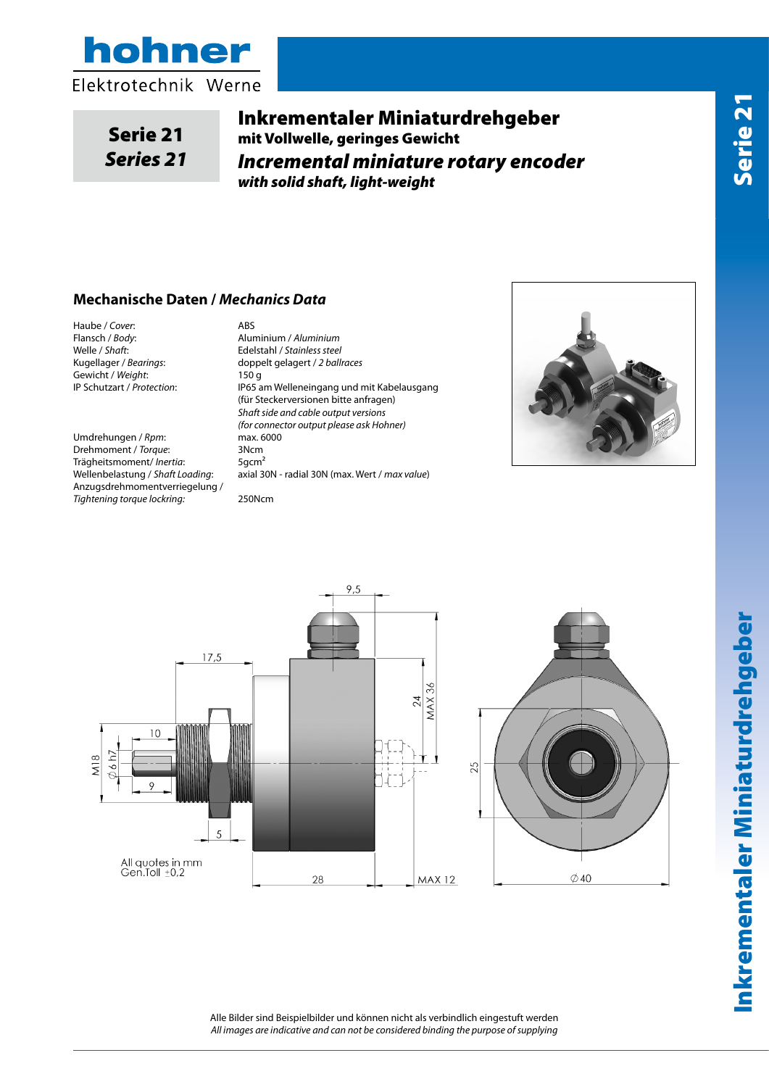

Serie 21 *Series 21*

Inkrementaler Miniaturdrehgeber mit Vollwelle, geringes Gewicht *Incremental miniature rotary encoder with solid shaft, light-weight*

## **Mechanische Daten /** *Mechanics Data*

Haube / *Cover*: ABS<br>Flansch / *Bodv*: Alun Welle / *Shaft*: Edelstahl / *Stainless steel* Gewicht / Weight:<br>IP Schutzart / Protection:

Umdrehungen / *Rpm*: max. 6000<br>Drehmoment / *Torque*: 3Ncm Drehmoment / *Torque*: Trägheitsmoment/*Inertia*: 5gcm<sup>2</sup><br>Wellenbelastung / Shaft Loading: axial 3 Anzugsdrehmomentverriegelung / *Tightening torque lockring:* 250Ncm

Flansch / *Body*: Aluminium / *Aluminium* doppelt gelagert / 2 ballraces<br>150 q IP65 am Welleneingang und mit Kabelausgang (für Steckerversionen bitte anfragen) *Shaft side and cable output versions (for connector output please ask Hohner)* axial 30N - radial 30N (max. Wert / *max value*)





Inkrementaler Miniaturdrehgeber

Alle Bilder sind Beispielbilder und können nicht als verbindlich eingestuft werden *All images are indicative and can not be considered binding the purpose of supplying*